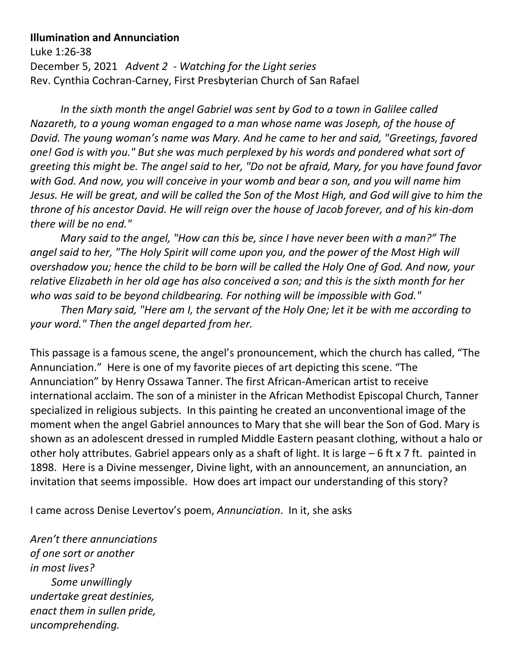## **Illumination and Annunciation**

Luke 1:26-38 December 5, 2021 *Advent 2 - Watching for the Light series* Rev. Cynthia Cochran-Carney, First Presbyterian Church of San Rafael

*In the sixth month the angel Gabriel was sent by God to a town in Galilee called Nazareth, to a young woman engaged to a man whose name was Joseph, of the house of David. The young woman's name was Mary. And he came to her and said, "Greetings, favored one! God is with you." But she was much perplexed by his words and pondered what sort of greeting this might be. The angel said to her, "Do not be afraid, Mary, for you have found favor with God. And now, you will conceive in your womb and bear a son, and you will name him Jesus. He will be great, and will be called the Son of the Most High, and God will give to him the throne of his ancestor David. He will reign over the house of Jacob forever, and of his kin-dom there will be no end."* 

*Mary said to the angel, "How can this be, since I have never been with a man?" The angel said to her, "The Holy Spirit will come upon you, and the power of the Most High will overshadow you; hence the child to be born will be called the Holy One of God. And now, your relative Elizabeth in her old age has also conceived a son; and this is the sixth month for her who was said to be beyond childbearing. For nothing will be impossible with God."* 

*Then Mary said, "Here am I, the servant of the Holy One; let it be with me according to your word." Then the angel departed from her.*

This passage is a famous scene, the angel's pronouncement, which the church has called, "The Annunciation." Here is one of my favorite pieces of art depicting this scene. "The Annunciation" by Henry Ossawa Tanner. The first African-American artist to receive international acclaim. The son of a minister in the African Methodist Episcopal Church, Tanner specialized in religious subjects. In this painting he created an unconventional image of the moment when the angel Gabriel announces to Mary that she will bear the Son of God. Mary is shown as an adolescent dressed in rumpled Middle Eastern peasant clothing, without a halo or other holy attributes. Gabriel appears only as a shaft of light. It is large – 6 ft x 7 ft. painted in 1898. Here is a Divine messenger, Divine light, with an announcement, an annunciation, an invitation that seems impossible. How does art impact our understanding of this story?

I came across Denise Levertov's poem, *Annunciation*. In it, she asks

*Aren't there annunciations of one sort or another in most lives? Some unwillingly undertake great destinies, enact them in sullen pride, uncomprehending.*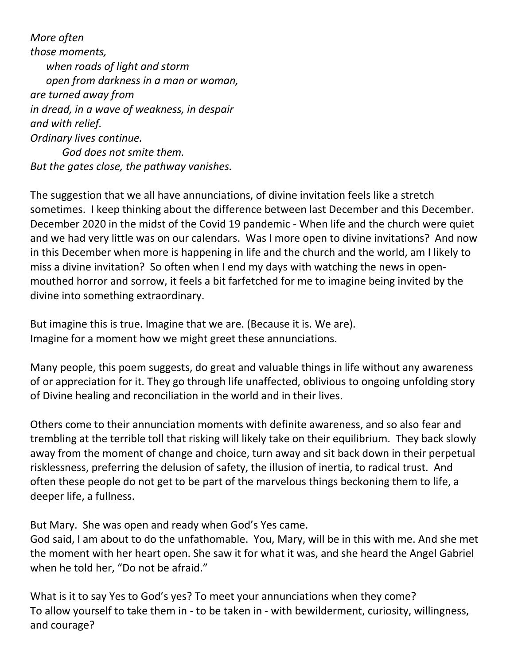*More often those moments, when roads of light and storm open from darkness in a man or woman, are turned away from in dread, in a wave of weakness, in despair and with relief. Ordinary lives continue. God does not smite them. But the gates close, the pathway vanishes.*

The suggestion that we all have annunciations, of divine invitation feels like a stretch sometimes. I keep thinking about the difference between last December and this December. December 2020 in the midst of the Covid 19 pandemic - When life and the church were quiet and we had very little was on our calendars. Was I more open to divine invitations? And now in this December when more is happening in life and the church and the world, am I likely to miss a divine invitation? So often when I end my days with watching the news in openmouthed horror and sorrow, it feels a bit farfetched for me to imagine being invited by the divine into something extraordinary.

But imagine this is true. Imagine that we are. (Because it is. We are). Imagine for a moment how we might greet these annunciations.

Many people, this poem suggests, do great and valuable things in life without any awareness of or appreciation for it. They go through life unaffected, oblivious to ongoing unfolding story of Divine healing and reconciliation in the world and in their lives.

Others come to their annunciation moments with definite awareness, and so also fear and trembling at the terrible toll that risking will likely take on their equilibrium. They back slowly away from the moment of change and choice, turn away and sit back down in their perpetual risklessness, preferring the delusion of safety, the illusion of inertia, to radical trust. And often these people do not get to be part of the marvelous things beckoning them to life, a deeper life, a fullness.

But Mary. She was open and ready when God's Yes came.

God said, I am about to do the unfathomable. You, Mary, will be in this with me. And she met the moment with her heart open. She saw it for what it was, and she heard the Angel Gabriel when he told her, "Do not be afraid."

What is it to say Yes to God's yes? To meet your annunciations when they come? To allow yourself to take them in - to be taken in - with bewilderment, curiosity, willingness, and courage?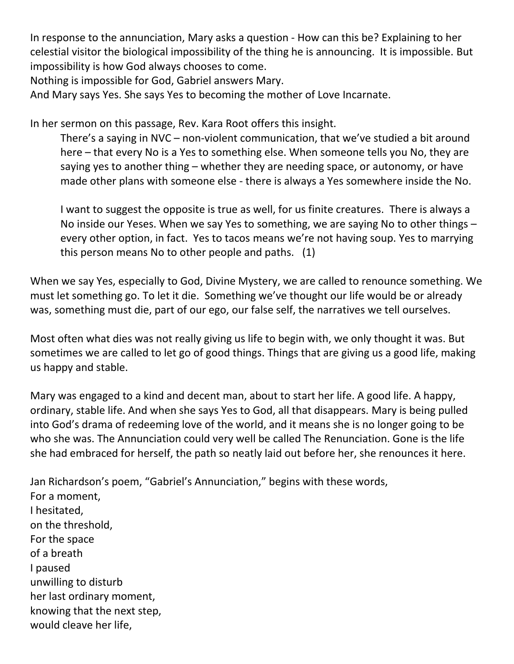In response to the annunciation, Mary asks a question - How can this be? Explaining to her celestial visitor the biological impossibility of the thing he is announcing. It is impossible. But impossibility is how God always chooses to come.

Nothing is impossible for God, Gabriel answers Mary.

And Mary says Yes. She says Yes to becoming the mother of Love Incarnate.

In her sermon on this passage, Rev. Kara Root offers this insight.

There's a saying in NVC – non-violent communication, that we've studied a bit around here – that every No is a Yes to something else. When someone tells you No, they are saying yes to another thing – whether they are needing space, or autonomy, or have made other plans with someone else - there is always a Yes somewhere inside the No.

I want to suggest the opposite is true as well, for us finite creatures. There is always a No inside our Yeses. When we say Yes to something, we are saying No to other things – every other option, in fact. Yes to tacos means we're not having soup. Yes to marrying this person means No to other people and paths. (1)

When we say Yes, especially to God, Divine Mystery, we are called to renounce something. We must let something go. To let it die. Something we've thought our life would be or already was, something must die, part of our ego, our false self, the narratives we tell ourselves.

Most often what dies was not really giving us life to begin with, we only thought it was. But sometimes we are called to let go of good things. Things that are giving us a good life, making us happy and stable.

Mary was engaged to a kind and decent man, about to start her life. A good life. A happy, ordinary, stable life. And when she says Yes to God, all that disappears. Mary is being pulled into God's drama of redeeming love of the world, and it means she is no longer going to be who she was. The Annunciation could very well be called The Renunciation. Gone is the life she had embraced for herself, the path so neatly laid out before her, she renounces it here.

Jan Richardson's poem, "Gabriel's Annunciation," begins with these words, For a moment, I hesitated, on the threshold, For the space of a breath I paused unwilling to disturb her last ordinary moment, knowing that the next step, would cleave her life,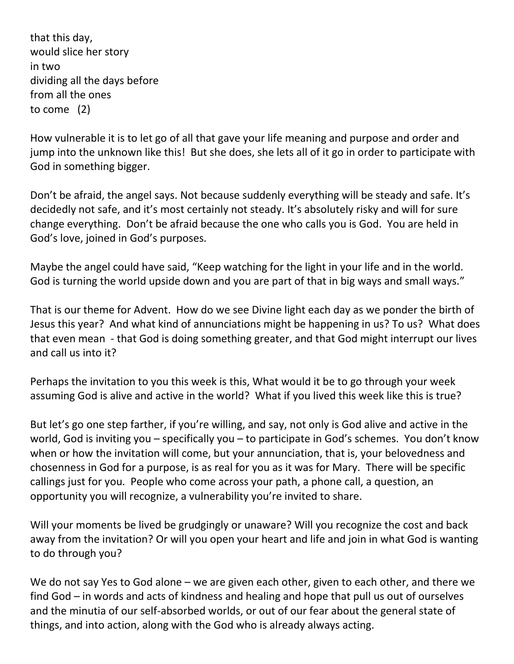that this day, would slice her story in two dividing all the days before from all the ones to come (2)

How vulnerable it is to let go of all that gave your life meaning and purpose and order and jump into the unknown like this! But she does, she lets all of it go in order to participate with God in something bigger.

Don't be afraid, the angel says. Not because suddenly everything will be steady and safe. It's decidedly not safe, and it's most certainly not steady. It's absolutely risky and will for sure change everything. Don't be afraid because the one who calls you is God. You are held in God's love, joined in God's purposes.

Maybe the angel could have said, "Keep watching for the light in your life and in the world. God is turning the world upside down and you are part of that in big ways and small ways."

That is our theme for Advent. How do we see Divine light each day as we ponder the birth of Jesus this year? And what kind of annunciations might be happening in us? To us? What does that even mean - that God is doing something greater, and that God might interrupt our lives and call us into it?

Perhaps the invitation to you this week is this, What would it be to go through your week assuming God is alive and active in the world? What if you lived this week like this is true?

But let's go one step farther, if you're willing, and say, not only is God alive and active in the world, God is inviting you – specifically you – to participate in God's schemes. You don't know when or how the invitation will come, but your annunciation, that is, your belovedness and chosenness in God for a purpose, is as real for you as it was for Mary. There will be specific callings just for you. People who come across your path, a phone call, a question, an opportunity you will recognize, a vulnerability you're invited to share.

Will your moments be lived be grudgingly or unaware? Will you recognize the cost and back away from the invitation? Or will you open your heart and life and join in what God is wanting to do through you?

We do not say Yes to God alone – we are given each other, given to each other, and there we find God – in words and acts of kindness and healing and hope that pull us out of ourselves and the minutia of our self-absorbed worlds, or out of our fear about the general state of things, and into action, along with the God who is already always acting.